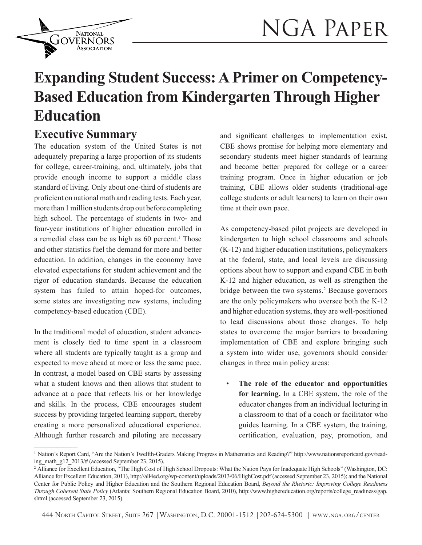

# **Expanding Student Success: A Primer on Competency-Based Education from Kindergarten Through Higher Education**

# **Executive Summary**

**NATIONAL JOVERNORS** Association

The education system of the United States is not adequately preparing a large proportion of its students for college, career-training, and, ultimately, jobs that provide enough income to support a middle class standard of living. Only about one-third of students are proficient on national math and reading tests. Each year, more than 1 million students drop out before completing high school. The percentage of students in two- and four-year institutions of higher education enrolled in a remedial class can be as high as 60 percent.<sup>1</sup> Those and other statistics fuel the demand for more and better education. In addition, changes in the economy have elevated expectations for student achievement and the rigor of education standards. Because the education system has failed to attain hoped-for outcomes, some states are investigating new systems, including competency-based education (CBE).

In the traditional model of education, student advancement is closely tied to time spent in a classroom where all students are typically taught as a group and expected to move ahead at more or less the same pace. In contrast, a model based on CBE starts by assessing what a student knows and then allows that student to advance at a pace that reflects his or her knowledge and skills. In the process, CBE encourages student success by providing targeted learning support, thereby creating a more personalized educational experience. Although further research and piloting are necessary

 $\mathcal{L}_\text{max}$ 

and significant challenges to implementation exist, CBE shows promise for helping more elementary and secondary students meet higher standards of learning and become better prepared for college or a career training program. Once in higher education or job training, CBE allows older students (traditional-age college students or adult learners) to learn on their own time at their own pace.

As competency-based pilot projects are developed in kindergarten to high school classrooms and schools (K-12) and higher education institutions, policymakers at the federal, state, and local levels are discussing options about how to support and expand CBE in both K-12 and higher education, as well as strengthen the bridge between the two systems.<sup>2</sup> Because governors are the only policymakers who oversee both the K-12 and higher education systems, they are well-positioned to lead discussions about those changes. To help states to overcome the major barriers to broadening implementation of CBE and explore bringing such a system into wider use, governors should consider changes in three main policy areas:

• **The role of the educator and opportunities for learning.** In a CBE system, the role of the educator changes from an individual lecturing in a classroom to that of a coach or facilitator who guides learning. In a CBE system, the training, certification, evaluation, pay, promotion, and

<sup>1</sup> Nation's Report Card, "Are the Nation's Twelfth-Graders Making Progress in Mathematics and Reading?" http://www.nationsreportcard.gov/reading\_math\_g12\_2013/# (accessed September 23, 2015).

<sup>&</sup>lt;sup>2</sup> Alliance for Excellent Education, "The High Cost of High School Dropouts: What the Nation Pays for Inadequate High Schools" (Washington, DC: Alliance for Excellent Education, 2011), http://all4ed.org/wp-content/uploads/2013/06/HighCost.pdf (accessed September 23, 2015); and the National Center for Public Policy and Higher Education and the Southern Regional Education Board, *Beyond the Rhetoric: Improving College Readiness Through Coherent State Policy* (Atlanta: Southern Regional Education Board, 2010), http://www.highereducation.org/reports/college\_readiness/gap. shtml (accessed September 23, 2015).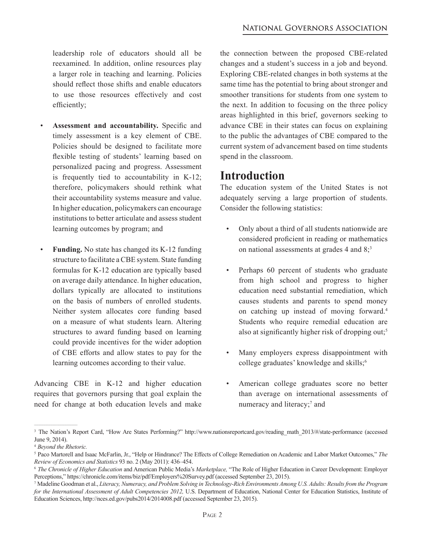leadership role of educators should all be reexamined. In addition, online resources play a larger role in teaching and learning. Policies should reflect those shifts and enable educators to use those resources effectively and cost efficiently;

- **Assessment and accountability.** Specific and timely assessment is a key element of CBE. Policies should be designed to facilitate more flexible testing of students' learning based on personalized pacing and progress. Assessment is frequently tied to accountability in K-12; therefore, policymakers should rethink what their accountability systems measure and value. In higher education, policymakers can encourage institutions to better articulate and assess student learning outcomes by program; and
- **Funding.** No state has changed its K-12 funding structure to facilitate a CBE system. State funding formulas for K-12 education are typically based on average daily attendance. In higher education, dollars typically are allocated to institutions on the basis of numbers of enrolled students. Neither system allocates core funding based on a measure of what students learn. Altering structures to award funding based on learning could provide incentives for the wider adoption of CBE efforts and allow states to pay for the learning outcomes according to their value.

Advancing CBE in K-12 and higher education requires that governors pursing that goal explain the need for change at both education levels and make

the connection between the proposed CBE-related changes and a student's success in a job and beyond. Exploring CBE-related changes in both systems at the same time has the potential to bring about stronger and smoother transitions for students from one system to the next. In addition to focusing on the three policy areas highlighted in this brief, governors seeking to advance CBE in their states can focus on explaining to the public the advantages of CBE compared to the current system of advancement based on time students spend in the classroom.

# **Introduction**

The education system of the United States is not adequately serving a large proportion of students. Consider the following statistics:

- Only about a third of all students nationwide are considered proficient in reading or mathematics on national assessments at grades  $4$  and  $8$ ;<sup>3</sup>
- Perhaps 60 percent of students who graduate from high school and progress to higher education need substantial remediation, which causes students and parents to spend money on catching up instead of moving forward.<sup>4</sup> Students who require remedial education are also at significantly higher risk of dropping out;<sup>5</sup>
- Many employers express disappointment with college graduates' knowledge and skills;<sup>6</sup>
- American college graduates score no better than average on international assessments of numeracy and literacy;<sup>7</sup> and

<sup>&</sup>lt;sup>3</sup> The Nation's Report Card, "How Are States Performing?" http://www.nationsreportcard.gov/reading\_math\_2013/#/state-performance (accessed June 9, 2014).

<sup>4</sup>*Beyond the Rhetoric.*

<sup>5</sup>Paco Martorell and Isaac McFarlin, Jr., "Help or Hindrance? The Effects of College Remediation on Academic and Labor Market Outcomes," *The Review of Economics and Statistics* 93 no. 2 (May 2011): 436–454.

<sup>6</sup>*The Chronicle of Higher Education* and American Public Media's *Marketplace,* "The Role of Higher Education in Career Development: Employer Perceptions," https://chronicle.com/items/biz/pdf/Employers%20Survey.pdf (accessed September 23, 2015).

<sup>7</sup> Madeline Goodman et al., *Literacy, Numeracy, and Problem Solving in Technology-Rich Environments Among U.S. Adults: Results from the Program for the International Assessment of Adult Competencies 2012,* U.S. Department of Education, National Center for Education Statistics, Institute of Education Sciences, http://nces.ed.gov/pubs2014/2014008.pdf (accessed September 23, 2015).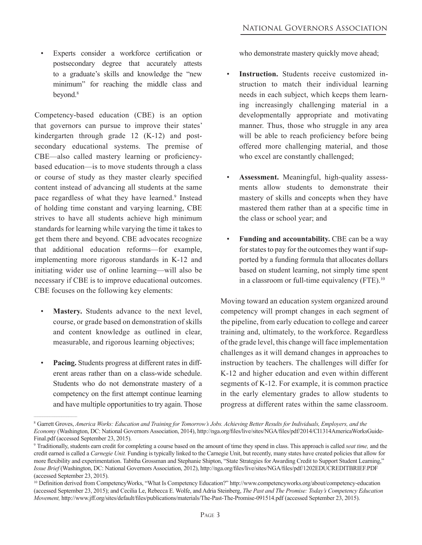• Experts consider a workforce certification or postsecondary degree that accurately attests to a graduate's skills and knowledge the "new minimum" for reaching the middle class and beyond.<sup>8</sup>

Competency-based education (CBE) is an option that governors can pursue to improve their states' kindergarten through grade 12 (K-12) and postsecondary educational systems. The premise of CBE—also called mastery learning or proficiencybased education—is to move students through a class or course of study as they master clearly specified content instead of advancing all students at the same pace regardless of what they have learned.<sup>9</sup> Instead of holding time constant and varying learning, CBE strives to have all students achieve high minimum standards for learning while varying the time it takes to get them there and beyond. CBE advocates recognize that additional education reforms—for example, implementing more rigorous standards in K-12 and initiating wider use of online learning—will also be necessary if CBE is to improve educational outcomes. CBE focuses on the following key elements:

- **Mastery.** Students advance to the next level, course, or grade based on demonstration of skills and content knowledge as outlined in clear, measurable, and rigorous learning objectives;
- **Pacing.** Students progress at different rates in different areas rather than on a class-wide schedule. Students who do not demonstrate mastery of a competency on the first attempt continue learning and have multiple opportunities to try again. Those

who demonstrate mastery quickly move ahead;

- **Instruction.** Students receive customized instruction to match their individual learning needs in each subject, which keeps them learning increasingly challenging material in a developmentally appropriate and motivating manner. Thus, those who struggle in any area will be able to reach proficiency before being offered more challenging material, and those who excel are constantly challenged;
- **Assessment.** Meaningful, high-quality assessments allow students to demonstrate their mastery of skills and concepts when they have mastered them rather than at a specific time in the class or school year; and
- **Funding and accountability.** CBE can be a way for states to pay for the outcomes they want if supported by a funding formula that allocates dollars based on student learning, not simply time spent in a classroom or full-time equivalency (FTE).<sup>10</sup>

Moving toward an education system organized around competency will prompt changes in each segment of the pipeline, from early education to college and career training and, ultimately, to the workforce. Regardless of the grade level, this change will face implementation challenges as it will demand changes in approaches to instruction by teachers. The challenges will differ for K-12 and higher education and even within different segments of K-12. For example, it is common practice in the early elementary grades to allow students to progress at different rates within the same classroom.

<sup>8</sup>Garrett Groves, *America Works: Education and Training for Tomorrow's Jobs. Achieving Better Results for Individuals, Employers, and the Economy* (Washington, DC: National Governors Association, 2014), http://nga.org/files/live/sites/NGA/files/pdf/2014/CI1314AmericaWorksGuide-Final.pdf (accessed September 23, 2015).

<sup>9</sup> Traditionally, students earn credit for completing a course based on the amount of time they spend in class. This approach is called *seat time,* and the credit earned is called a *Carnegie Unit.* Funding is typically linked to the Carnegie Unit, but recently, many states have created policies that allow for more flexibility and experimentation. Tabitha Grossman and Stephanie Shipton, "State Strategies for Awarding Credit to Support Student Learning," *Issue Brief* (Washington, DC: National Governors Association, 2012), http://nga.org/files/live/sites/NGA/files/pdf/1202EDUCREDITBRIEF.PDF (accessed September 23, 2015).

<sup>&</sup>lt;sup>10</sup> Definition derived from CompetencyWorks, "What Is Competency Education?" http://www.competencyworks.org/about/competency-education (accessed September 23, 2015); and Cecilia Le, Rebecca E. Wolfe, and Adria Steinberg, *The Past and The Promise: Today's Competency Education Movement,* http://www.jff.org/sites/default/files/publications/materials/The-Past-The-Promise-091514.pdf (accessed September 23, 2015).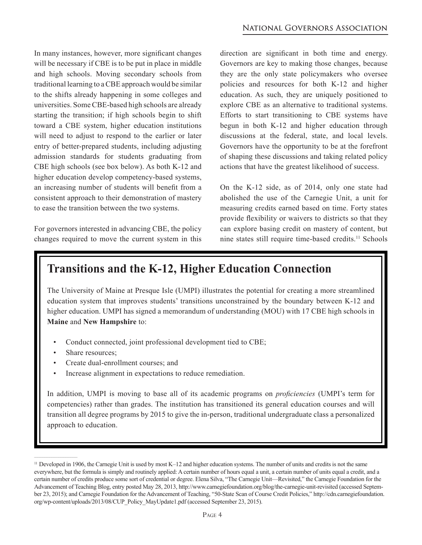In many instances, however, more significant changes will be necessary if CBE is to be put in place in middle and high schools. Moving secondary schools from traditional learning to a CBE approach would be similar to the shifts already happening in some colleges and universities. Some CBE-based high schools are already starting the transition; if high schools begin to shift toward a CBE system, higher education institutions will need to adjust to respond to the earlier or later entry of better-prepared students, including adjusting admission standards for students graduating from CBE high schools (see box below). As both K-12 and higher education develop competency-based systems, an increasing number of students will benefit from a consistent approach to their demonstration of mastery to ease the transition between the two systems.

For governors interested in advancing CBE, the policy changes required to move the current system in this

direction are significant in both time and energy. Governors are key to making those changes, because they are the only state policymakers who oversee policies and resources for both K-12 and higher education. As such, they are uniquely positioned to explore CBE as an alternative to traditional systems. Efforts to start transitioning to CBE systems have begun in both K-12 and higher education through discussions at the federal, state, and local levels. Governors have the opportunity to be at the forefront of shaping these discussions and taking related policy actions that have the greatest likelihood of success.

On the K-12 side, as of 2014, only one state had abolished the use of the Carnegie Unit, a unit for measuring credits earned based on time. Forty states provide flexibility or waivers to districts so that they can explore basing credit on mastery of content, but nine states still require time-based credits.11 Schools

# **Transitions and the K-12, Higher Education Connection**

The University of Maine at Presque Isle (UMPI) illustrates the potential for creating a more streamlined education system that improves students' transitions unconstrained by the boundary between K-12 and higher education. UMPI has signed a memorandum of understanding (MOU) with 17 CBE high schools in **Maine** and **New Hampshire** to:

- Conduct connected, joint professional development tied to CBE;
- Share resources:

 $\mathcal{L}_\text{max}$ 

- Create dual-enrollment courses; and
- Increase alignment in expectations to reduce remediation.

In addition, UMPI is moving to base all of its academic programs on *proficiencies* (UMPI's term for competencies) rather than grades. The institution has transitioned its general education courses and will transition all degree programs by 2015 to give the in-person, traditional undergraduate class a personalized approach to education.

<sup>&</sup>lt;sup>11</sup> Developed in 1906, the Carnegie Unit is used by most K–12 and higher education systems. The number of units and credits is not the same everywhere, but the formula is simply and routinely applied: A certain number of hours equal a unit, a certain number of units equal a credit, and a certain number of credits produce some sort of credential or degree. Elena Silva, "The Carnegie Unit—Revisited," the Carnegie Foundation for the Advancement of Teaching Blog, entry posted May 28, 2013, http://www.carnegiefoundation.org/blog/the-carnegie-unit-revisited (accessed September 23, 2015); and Carnegie Foundation for the Advancement of Teaching, "50-State Scan of Course Credit Policies," http://cdn.carnegiefoundation. org/wp-content/uploads/2013/08/CUP\_Policy\_MayUpdate1.pdf (accessed September 23, 2015).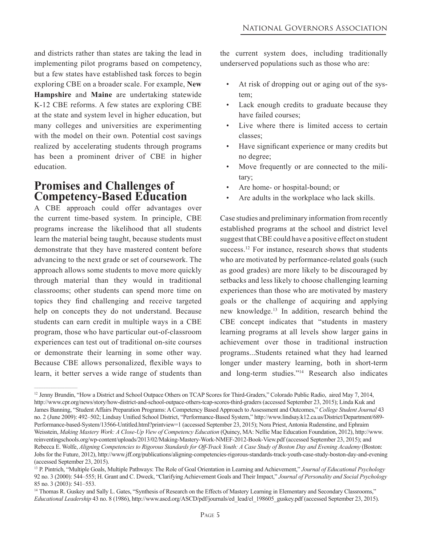and districts rather than states are taking the lead in implementing pilot programs based on competency, but a few states have established task forces to begin exploring CBE on a broader scale. For example, **New Hampshire** and **Maine** are undertaking statewide K-12 CBE reforms. A few states are exploring CBE at the state and system level in higher education, but many colleges and universities are experimenting with the model on their own. Potential cost savings realized by accelerating students through programs has been a prominent driver of CBE in higher education.

## **Promises and Challenges of Competency-Based Education**

A CBE approach could offer advantages over the current time-based system. In principle, CBE programs increase the likelihood that all students learn the material being taught, because students must demonstrate that they have mastered content before advancing to the next grade or set of coursework. The approach allows some students to move more quickly through material than they would in traditional classrooms; other students can spend more time on topics they find challenging and receive targeted help on concepts they do not understand. Because students can earn credit in multiple ways in a CBE program, those who have particular out-of-classroom experiences can test out of traditional on-site courses or demonstrate their learning in some other way. Because CBE allows personalized, flexible ways to learn, it better serves a wide range of students than the current system does, including traditionally underserved populations such as those who are:

- At risk of dropping out or aging out of the system;
- Lack enough credits to graduate because they have failed courses;
- Live where there is limited access to certain classes;
- Have significant experience or many credits but no degree;
- Move frequently or are connected to the military;
- Are home- or hospital-bound; or
- Are adults in the workplace who lack skills.

Case studies and preliminary information from recently established programs at the school and district level suggest that CBE could have a positive effect on student success.<sup>12</sup> For instance, research shows that students who are motivated by performance-related goals (such as good grades) are more likely to be discouraged by setbacks and less likely to choose challenging learning experiences than those who are motivated by mastery goals or the challenge of acquiring and applying new knowledge.13 In addition, research behind the CBE concept indicates that "students in mastery learning programs at all levels show larger gains in achievement over those in traditional instruction programs...Students retained what they had learned longer under mastery learning, both in short-term and long-term studies."<sup>14</sup> Research also indicates

<sup>&</sup>lt;sup>12</sup> Jenny Brundin, "How a District and School Outpace Others on TCAP Scores for Third-Graders," Colorado Public Radio, aired May 7, 2014, http://www.cpr.org/news/story/how-district-and-school-outpace-others-tcap-scores-third-graders (accessed September 23, 2015); Linda Kuk and James Banning, "Student Affairs Preparation Programs: A Competency Based Approach to Assessment and Outcomes," *College Student Journal* 43 no. 2 (June 2009): 492–502; Lindsay Unified School District, "Performance-Based System," http://www.lindsay.k12.ca.us/District/Department/689- Performance-based-System/13566-Untitled.html?printview=1 (accessed September 23, 2015); Nora Priest, Antonia Rudenstine, and Ephraim Weisstein, *Making Mastery Work: A Close-Up View of Competency Education* (Quincy, MA: Nellie Mae Education Foundation, 2012), http://www. reinventingschools.org/wp-content/uploads/2013/02/Making-Mastery-Work-NMEF-2012-Book-View.pdf (accessed September 23, 2015); and Rebecca E. Wolfe, *Aligning Competencies to Rigorous Standards for Off-Track Youth: A Case Study of Boston Day and Evening Academy* (Boston: Jobs for the Future, 2012), http://www.jff.org/publications/aligning-competencies-rigorous-standards-track-youth-case-study-boston-day-and-evening (accessed September 23, 2015).

<sup>&</sup>lt;sup>13</sup> P. Pintrich, "Multiple Goals, Multiple Pathways: The Role of Goal Orientation in Learning and Achievement," *Journal of Educational Psychology* 92 no. 3 (2000): 544–555; H. Grant and C. Dweck, "Clarifying Achievement Goals and Their Impact," *Journal of Personality and Social Psychology* 85 no. 3 (2003): 541–553.

<sup>&</sup>lt;sup>14</sup> Thomas R. Guskey and Sally L. Gates, "Synthesis of Research on the Effects of Mastery Learning in Elementary and Secondary Classrooms," *Educational Leadership* 43 no. 8 (1986), http://www.ascd.org/ASCD/pdf/journals/ed\_lead/el\_198605\_guskey.pdf (accessed September 23, 2015).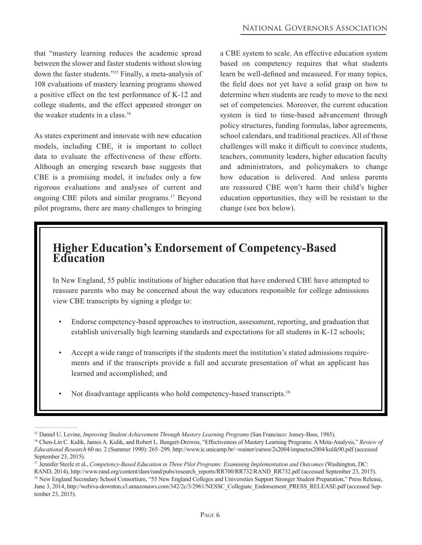that "mastery learning reduces the academic spread between the slower and faster students without slowing down the faster students."15 Finally, a meta-analysis of 108 evaluations of mastery learning programs showed a positive effect on the test performance of K-12 and college students, and the effect appeared stronger on the weaker students in a class  $16$ 

As states experiment and innovate with new education models, including CBE, it is important to collect data to evaluate the effectiveness of these efforts. Although an emerging research base suggests that CBE is a promising model, it includes only a few rigorous evaluations and analyses of current and ongoing CBE pilots and similar programs.17 Beyond pilot programs, there are many challenges to bringing a CBE system to scale. An effective education system based on competency requires that what students learn be well-defined and measured. For many topics, the field does not yet have a solid grasp on how to determine when students are ready to move to the next set of competencies. Moreover, the current education system is tied to time-based advancement through policy structures, funding formulas, labor agreements, school calendars, and traditional practices. All of those challenges will make it difficult to convince students, teachers, community leaders, higher education faculty and administrators, and policymakers to change how education is delivered. And unless parents are reassured CBE won't harm their child's higher education opportunities, they will be resistant to the change (see box below).

# **Higher Education's Endorsement of Competency-Based Education**

In New England, 55 public institutions of higher education that have endorsed CBE have attempted to reassure parents who may be concerned about the way educators responsible for college admissions view CBE transcripts by signing a pledge to:

- Endorse competency-based approaches to instruction, assessment, reporting, and graduation that establish universally high learning standards and expectations for all students in K-12 schools;
- Accept a wide range of transcripts if the students meet the institution's stated admissions requirements and if the transcripts provide a full and accurate presentation of what an applicant has learned and accomplished; and
- Not disadvantage applicants who hold competency-based transcripts.<sup>18</sup>

<sup>&</sup>lt;sup>15</sup> Daniel U. Levine, *Improving Student Achievement Through Mastery Learning Programs* (San Francisco: Jossey-Bass, 1985).

<sup>16</sup>Chen-Lin C. Kulik, James A. Kulik, and Robert L. Bangert-Drowns, "Effectiveness of Mastery Learning Programs: A Meta-Analysis," *Review of Educational Research* 60 no. 2 (Summer 1990): 265–299, http://www.ic.unicamp.br/~wainer/cursos/2s2004/impactos2004/kulik90.pdf (accessed September 23, 2015).

<sup>17</sup> Jennifer Steele et al., *Competency-Based Education in Three Pilot Programs: Examining Implementation and Outcomes* (Washington, DC:

RAND, 2014), http://www.rand.org/content/dam/rand/pubs/research\_reports/RR700/RR732/RAND\_RR732.pdf (accessed September 23, 2015). 18 New England Secondary School Consortium, "55 New England Colleges and Universities Support Stronger Student Preparation," Press Release, June 3, 2014, http://webiva-downton.s3.amazonaws.com/342/2c/3/2961/NESSC\_Collegiate\_Endorsement\_PRESS\_RELEASE.pdf (accessed September 23, 2015).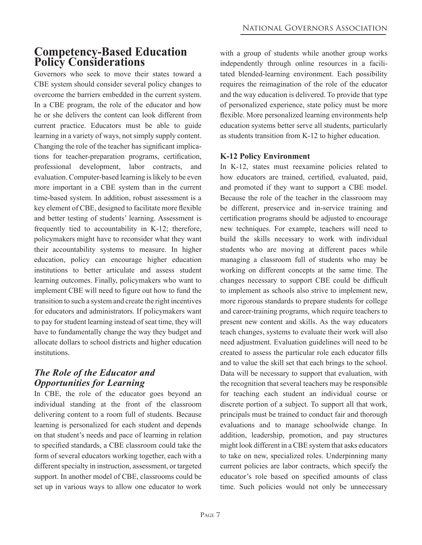# **Competency-Based Education Policy Considerations**

Governors who seek to move their states toward a CBE system should consider several policy changes to overcome the barriers embedded in the current system. In a CBE program, the role of the educator and how he or she delivers the content can look different from current practice. Educators must be able to guide learning in a variety of ways, not simply supply content. Changing the role of the teacher has significant implications for teacher-preparation programs, certification, professional development, labor contracts, and evaluation. Computer-based learning is likely to be even more important in a CBE system than in the current time-based system. In addition, robust assessment is a key element of CBE, designed to facilitate more flexible and better testing of students' learning. Assessment is frequently tied to accountability in K-12; therefore, policymakers might have to reconsider what they want their accountability systems to measure. In higher education, policy can encourage higher education institutions to better articulate and assess student learning outcomes. Finally, policymakers who want to implement CBE will need to figure out how to fund the transition to such a system and create the right incentives for educators and administrators. If policymakers want to pay for student learning instead of seat time, they will have to fundamentally change the way they budget and allocate dollars to school districts and higher education institutions.

### *The Role of the Educator and Opportunities for Learning*

In CBE, the role of the educator goes beyond an individual standing at the front of the classroom delivering content to a room full of students. Because learning is personalized for each student and depends on that student's needs and pace of learning in relation to specified standards, a CBE classroom could take the form of several educators working together, each with a different specialty in instruction, assessment, or targeted support. In another model of CBE, classrooms could be set up in various ways to allow one educator to work

with a group of students while another group works independently through online resources in a facilitated blended-learning environment. Each possibility requires the reimagination of the role of the educator and the way education is delivered. To provide that type of personalized experience, state policy must be more flexible. More personalized learning environments help education systems better serve all students, particularly as students transition from K-12 to higher education.

#### **K-12 Policy Environment**

In K-12, states must reexamine policies related to how educators are trained, certified, evaluated, paid, and promoted if they want to support a CBE model. Because the role of the teacher in the classroom may be different, preservice and in-service training and certification programs should be adjusted to encourage new techniques. For example, teachers will need to build the skills necessary to work with individual students who are moving at different paces while managing a classroom full of students who may be working on different concepts at the same time. The changes necessary to support CBE could be difficult to implement as schools also strive to implement new, more rigorous standards to prepare students for college and career-training programs, which require teachers to present new content and skills. As the way educators teach changes, systems to evaluate their work will also need adjustment. Evaluation guidelines will need to be created to assess the particular role each educator fills and to value the skill set that each brings to the school. Data will be necessary to support that evaluation, with the recognition that several teachers may be responsible for teaching each student an individual course or discrete portion of a subject. To support all that work, principals must be trained to conduct fair and thorough evaluations and to manage schoolwide change. In addition, leadership, promotion, and pay structures might look different in a CBE system that asks educators to take on new, specialized roles. Underpinning many current policies are labor contracts, which specify the educator's role based on specified amounts of class time. Such policies would not only be unnecessary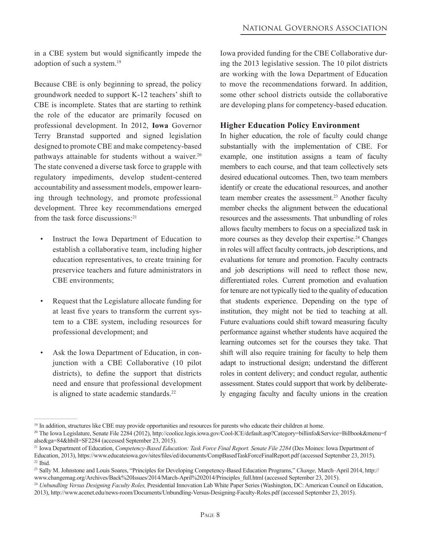in a CBE system but would significantly impede the adoption of such a system.19

Because CBE is only beginning to spread, the policy groundwork needed to support K-12 teachers' shift to CBE is incomplete. States that are starting to rethink the role of the educator are primarily focused on professional development. In 2012, **Iowa** Governor Terry Branstad supported and signed legislation designed to promote CBE and make competency-based pathways attainable for students without a waiver.<sup>20</sup> The state convened a diverse task force to grapple with regulatory impediments, develop student-centered accountability and assessment models, empower learning through technology, and promote professional development. Three key recommendations emerged from the task force discussions:<sup>21</sup>

- Instruct the Iowa Department of Education to establish a collaborative team, including higher education representatives, to create training for preservice teachers and future administrators in CBE environments;
- Request that the Legislature allocate funding for at least five years to transform the current system to a CBE system, including resources for professional development; and
- Ask the Iowa Department of Education, in conjunction with a CBE Collaborative (10 pilot districts), to define the support that districts need and ensure that professional development is aligned to state academic standards.<sup>22</sup>

Iowa provided funding for the CBE Collaborative during the 2013 legislative session. The 10 pilot districts are working with the Iowa Department of Education to move the recommendations forward. In addition, some other school districts outside the collaborative are developing plans for competency-based education.

#### **Higher Education Policy Environment**

In higher education, the role of faculty could change substantially with the implementation of CBE. For example, one institution assigns a team of faculty members to each course, and that team collectively sets desired educational outcomes. Then, two team members identify or create the educational resources, and another team member creates the assessment.<sup>23</sup> Another faculty member checks the alignment between the educational resources and the assessments. That unbundling of roles allows faculty members to focus on a specialized task in more courses as they develop their expertise.<sup>24</sup> Changes in roles will affect faculty contracts, job descriptions, and evaluations for tenure and promotion. Faculty contracts and job descriptions will need to reflect those new, differentiated roles. Current promotion and evaluation for tenure are not typically tied to the quality of education that students experience. Depending on the type of institution, they might not be tied to teaching at all. Future evaluations could shift toward measuring faculty performance against whether students have acquired the learning outcomes set for the courses they take. That shift will also require training for faculty to help them adapt to instructional design; understand the different roles in content delivery; and conduct regular, authentic assessment. States could support that work by deliberately engaging faculty and faculty unions in the creation

<sup>&</sup>lt;sup>19</sup> In addition, structures like CBE may provide opportunities and resources for parents who educate their children at home.

<sup>&</sup>lt;sup>20</sup> The Iowa Legislature, Senate File 2284 (2012), http://coolice.legis.iowa.gov/Cool-ICE/default.asp?Category=billinfo&Service=Billbook&menu=f alse&ga=84&hbill=SF2284 (accessed September 23, 2015).

<sup>21</sup>Iowa Department of Education, *Competency-Based Education: Task Force Final Report. Senate File 2284* (Des Moines: Iowa Department of Education, 2013), https://www.educateiowa.gov/sites/files/ed/documents/CompBasedTaskForceFinalReport.pdf (accessed September 23, 2015). 22 Ibid.

<sup>23</sup>Sally M. Johnstone and Louis Soares, "Principles for Developing Competency-Based Education Programs," *Change,* March–April 2014, http:// www.changemag.org/Archives/Back%20Issues/2014/March-April%202014/Principles\_full.html (accessed September 23, 2015).

<sup>24</sup>*Unbundling Versus Designing Faculty Roles,* Presidential Innovation Lab White Paper Series (Washington, DC: American Council on Education, 2013), http://www.acenet.edu/news-room/Documents/Unbundling-Versus-Designing-Faculty-Roles.pdf (accessed September 23, 2015).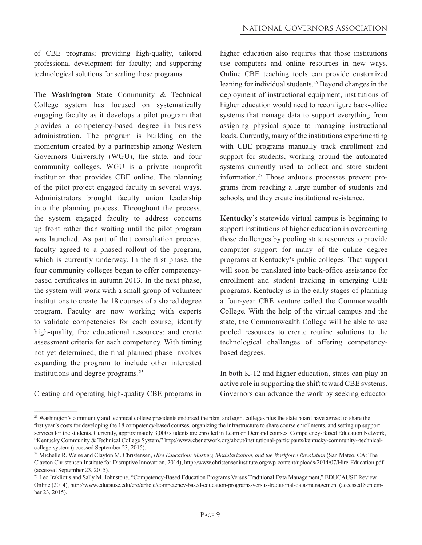of CBE programs; providing high-quality, tailored professional development for faculty; and supporting technological solutions for scaling those programs.

The **Washington** State Community & Technical College system has focused on systematically engaging faculty as it develops a pilot program that provides a competency-based degree in business administration. The program is building on the momentum created by a partnership among Western Governors University (WGU), the state, and four community colleges. WGU is a private nonprofit institution that provides CBE online. The planning of the pilot project engaged faculty in several ways. Administrators brought faculty union leadership into the planning process. Throughout the process, the system engaged faculty to address concerns up front rather than waiting until the pilot program was launched. As part of that consultation process, faculty agreed to a phased rollout of the program, which is currently underway. In the first phase, the four community colleges began to offer competencybased certificates in autumn 2013. In the next phase, the system will work with a small group of volunteer institutions to create the 18 courses of a shared degree program. Faculty are now working with experts to validate competencies for each course; identify high-quality, free educational resources; and create assessment criteria for each competency. With timing not yet determined, the final planned phase involves expanding the program to include other interested institutions and degree programs.<sup>25</sup>

Creating and operating high-quality CBE programs in

higher education also requires that those institutions use computers and online resources in new ways. Online CBE teaching tools can provide customized leaning for individual students.26 Beyond changes in the deployment of instructional equipment, institutions of higher education would need to reconfigure back-office systems that manage data to support everything from assigning physical space to managing instructional loads. Currently, many of the institutions experimenting with CBE programs manually track enrollment and support for students, working around the automated systems currently used to collect and store student information.27 Those arduous processes prevent programs from reaching a large number of students and schools, and they create institutional resistance.

**Kentucky**'s statewide virtual campus is beginning to support institutions of higher education in overcoming those challenges by pooling state resources to provide computer support for many of the online degree programs at Kentucky's public colleges. That support will soon be translated into back-office assistance for enrollment and student tracking in emerging CBE programs. Kentucky is in the early stages of planning a four-year CBE venture called the Commonwealth College*.* With the help of the virtual campus and the state, the Commonwealth College will be able to use pooled resources to create routine solutions to the technological challenges of offering competencybased degrees.

In both K-12 and higher education, states can play an active role in supporting the shift toward CBE systems. Governors can advance the work by seeking educator

<sup>&</sup>lt;sup>25</sup> Washington's community and technical college presidents endorsed the plan, and eight colleges plus the state board have agreed to share the first year's costs for developing the 18 competency-based courses, organizing the infrastructure to share course enrollments, and setting up support services for the students. Currently, approximately 3,000 students are enrolled in Learn on Demand courses. Competency-Based Education Network, "Kentucky Community & Technical College System," http://www.cbenetwork.org/about/institutional-participants/kentucky-community--technicalcollege-system (accessed September 23, 2015).

<sup>&</sup>lt;sup>26</sup> Michelle R. Weise and Clayton M. Christensen, *Hire Education: Mastery, Modularization, and the Workforce Revolution* (San Mateo, CA: The Clayton Christensen Institute for Disruptive Innovation, 2014), http://www.christenseninstitute.org/wp-content/uploads/2014/07/Hire-Education.pdf (accessed September 23, 2015).

<sup>&</sup>lt;sup>27</sup> Leo Irakliotis and Sally M. Johnstone, "Competency-Based Education Programs Versus Traditional Data Management," EDUCAUSE Review Online (2014), http://www.educause.edu/ero/article/competency-based-education-programs-versus-traditional-data-management (accessed September 23, 2015).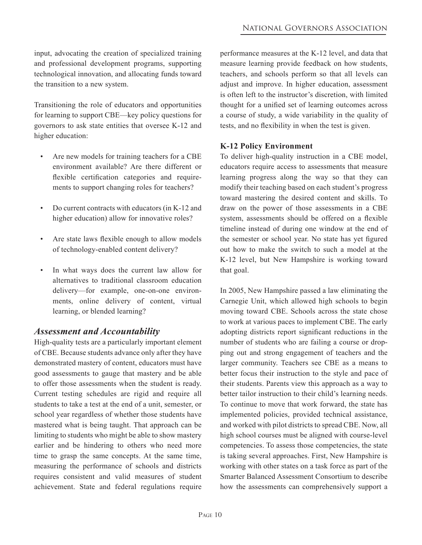input, advocating the creation of specialized training and professional development programs, supporting technological innovation, and allocating funds toward the transition to a new system.

Transitioning the role of educators and opportunities for learning to support CBE—key policy questions for governors to ask state entities that oversee K-12 and higher education:

- Are new models for training teachers for a CBE environment available? Are there different or flexible certification categories and requirements to support changing roles for teachers?
- Do current contracts with educators (in K-12 and higher education) allow for innovative roles?
- Are state laws flexible enough to allow models of technology-enabled content delivery?
- In what ways does the current law allow for alternatives to traditional classroom education delivery—for example, one-on-one environments, online delivery of content, virtual learning, or blended learning?

#### *Assessment and Accountability*

High-quality tests are a particularly important element of CBE. Because students advance only after they have demonstrated mastery of content, educators must have good assessments to gauge that mastery and be able to offer those assessments when the student is ready. Current testing schedules are rigid and require all students to take a test at the end of a unit, semester, or school year regardless of whether those students have mastered what is being taught. That approach can be limiting to students who might be able to show mastery earlier and be hindering to others who need more time to grasp the same concepts. At the same time, measuring the performance of schools and districts requires consistent and valid measures of student achievement. State and federal regulations require performance measures at the K-12 level, and data that measure learning provide feedback on how students, teachers, and schools perform so that all levels can adjust and improve. In higher education, assessment is often left to the instructor's discretion, with limited thought for a unified set of learning outcomes across a course of study, a wide variability in the quality of tests, and no flexibility in when the test is given.

#### **K-12 Policy Environment**

To deliver high-quality instruction in a CBE model, educators require access to assessments that measure learning progress along the way so that they can modify their teaching based on each student's progress toward mastering the desired content and skills. To draw on the power of those assessments in a CBE system, assessments should be offered on a flexible timeline instead of during one window at the end of the semester or school year. No state has yet figured out how to make the switch to such a model at the K-12 level, but New Hampshire is working toward that goal.

In 2005, New Hampshire passed a law eliminating the Carnegie Unit, which allowed high schools to begin moving toward CBE. Schools across the state chose to work at various paces to implement CBE. The early adopting districts report significant reductions in the number of students who are failing a course or dropping out and strong engagement of teachers and the larger community. Teachers see CBE as a means to better focus their instruction to the style and pace of their students. Parents view this approach as a way to better tailor instruction to their child's learning needs. To continue to move that work forward, the state has implemented policies, provided technical assistance, and worked with pilot districts to spread CBE. Now, all high school courses must be aligned with course-level competencies. To assess those competencies, the state is taking several approaches. First, New Hampshire is working with other states on a task force as part of the Smarter Balanced Assessment Consortium to describe how the assessments can comprehensively support a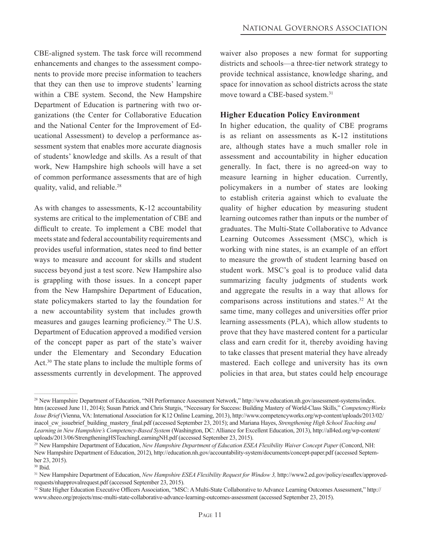CBE-aligned system. The task force will recommend enhancements and changes to the assessment components to provide more precise information to teachers that they can then use to improve students' learning within a CBE system. Second, the New Hampshire Department of Education is partnering with two organizations (the Center for Collaborative Education and the National Center for the Improvement of Educational Assessment) to develop a performance assessment system that enables more accurate diagnosis of students' knowledge and skills. As a result of that work, New Hampshire high schools will have a set of common performance assessments that are of high quality, valid, and reliable.<sup>28</sup>

As with changes to assessments, K-12 accountability systems are critical to the implementation of CBE and difficult to create. To implement a CBE model that meets state and federal accountability requirements and provides useful information, states need to find better ways to measure and account for skills and student success beyond just a test score. New Hampshire also is grappling with those issues. In a concept paper from the New Hampshire Department of Education, state policymakers started to lay the foundation for a new accountability system that includes growth measures and gauges learning proficiency.<sup>29</sup> The U.S. Department of Education approved a modified version of the concept paper as part of the state's waiver under the Elementary and Secondary Education Act.30 The state plans to include the multiple forms of assessments currently in development. The approved

waiver also proposes a new format for supporting districts and schools—a three-tier network strategy to provide technical assistance, knowledge sharing, and space for innovation as school districts across the state move toward a CBE-based system.<sup>31</sup>

#### **Higher Education Policy Environment**

In higher education, the quality of CBE programs is as reliant on assessments as K-12 institutions are, although states have a much smaller role in assessment and accountability in higher education generally. In fact, there is no agreed-on way to measure learning in higher education. Currently, policymakers in a number of states are looking to establish criteria against which to evaluate the quality of higher education by measuring student learning outcomes rather than inputs or the number of graduates. The Multi-State Collaborative to Advance Learning Outcomes Assessment (MSC), which is working with nine states, is an example of an effort to measure the growth of student learning based on student work. MSC's goal is to produce valid data summarizing faculty judgments of students work and aggregate the results in a way that allows for comparisons across institutions and states.32 At the same time, many colleges and universities offer prior learning assessments (PLA), which allow students to prove that they have mastered content for a particular class and earn credit for it, thereby avoiding having to take classes that present material they have already mastered. Each college and university has its own policies in that area, but states could help encourage

 $\mathcal{L}_\text{max}$  and  $\mathcal{L}_\text{max}$  are the set of the set of the set of the set of the set of the set of the set of the set of the set of the set of the set of the set of the set of the set of the set of the set of the set o

<sup>28</sup> New Hampshire Department of Education, "NH Performance Assessment Network," http://www.education.nh.gov/assessment-systems/index. htm (accessed June 11, 2014); Susan Patrick and Chris Sturgis, "Necessary for Success: Building Mastery of World-Class Skills," *CompetencyWorks Issue Brief* (Vienna, VA: International Association for K12 Online Learning, 2013), http://www.competencyworks.org/wp-content/uploads/2013/02/ inacol\_cw\_issuebrief\_building\_mastery\_final.pdf (accessed September 23, 2015); and Mariana Hayes, *Strengthening High School Teaching and Learning in New Hampshire's Competency-Based System* (Washington, DC: Alliance for Excellent Education, 2013), http://all4ed.org/wp-content/ uploads/2013/06/StrengtheningHSTeachingLearningNH.pdf (accessed September 23, 2015).

<sup>&</sup>lt;sup>29</sup> New Hampshire Department of Education, *New Hampshire Department of Education ESEA Flexibility Waiver Concept Paper* (Concord, NH: New Hampshire Department of Education, 2012), http://education.nh.gov/accountability-system/documents/concept-paper.pdf (accessed September 23, 2015).

<sup>30</sup> Ibid.

<sup>&</sup>lt;sup>31</sup> New Hampshire Department of Education, *New Hampshire ESEA Flexibility Request for Window 3*, http://www2.ed.gov/policy/eseaflex/approvedrequests/nhapprovalrequest.pdf (accessed September 23, 2015).

<sup>&</sup>lt;sup>32</sup> State Higher Education Executive Officers Association, "MSC: A Multi-State Collaborative to Advance Learning Outcomes Assessment," http:// www.sheeo.org/projects/msc-multi-state-collaborative-advance-learning-outcomes-assessment (accessed September 23, 2015).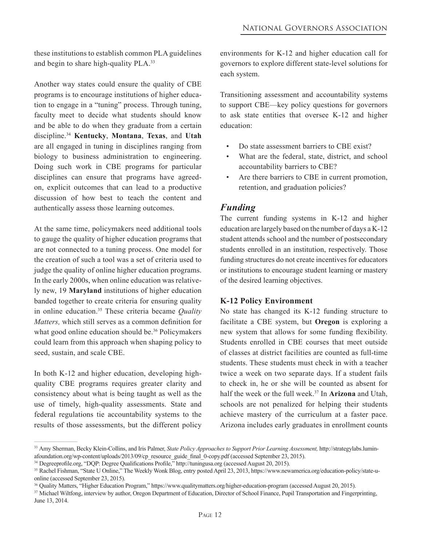these institutions to establish common PLA guidelines and begin to share high-quality PLA.<sup>33</sup>

Another way states could ensure the quality of CBE programs is to encourage institutions of higher education to engage in a "tuning" process. Through tuning, faculty meet to decide what students should know and be able to do when they graduate from a certain discipline.<sup>34</sup> **Kentucky**, **Montana**, **Texas**, and **Utah** are all engaged in tuning in disciplines ranging from biology to business administration to engineering. Doing such work in CBE programs for particular disciplines can ensure that programs have agreedon, explicit outcomes that can lead to a productive discussion of how best to teach the content and authentically assess those learning outcomes.

At the same time, policymakers need additional tools to gauge the quality of higher education programs that are not connected to a tuning process. One model for the creation of such a tool was a set of criteria used to judge the quality of online higher education programs. In the early 2000s, when online education was relatively new, 19 **Maryland** institutions of higher education banded together to create criteria for ensuring quality in online education.35 These criteria became *Quality Matters,* which still serves as a common definition for what good online education should be.<sup>36</sup> Policymakers could learn from this approach when shaping policy to seed, sustain, and scale CBE.

In both K-12 and higher education, developing highquality CBE programs requires greater clarity and consistency about what is being taught as well as the use of timely, high-quality assessments. State and federal regulations tie accountability systems to the results of those assessments, but the different policy

 $\mathcal{L}_\text{max}$  and  $\mathcal{L}_\text{max}$  are the set of the set of the set of the set of the set of the set of the set of the set of the set of the set of the set of the set of the set of the set of the set of the set of the set o

environments for K-12 and higher education call for governors to explore different state-level solutions for each system.

Transitioning assessment and accountability systems to support CBE—key policy questions for governors to ask state entities that oversee K-12 and higher education:

- Do state assessment barriers to CBE exist?
- What are the federal, state, district, and school accountability barriers to CBE?
- Are there barriers to CBE in current promotion, retention, and graduation policies?

#### *Funding*

The current funding systems in K-12 and higher education are largely based on the number of days a K-12 student attends school and the number of postsecondary students enrolled in an institution, respectively. Those funding structures do not create incentives for educators or institutions to encourage student learning or mastery of the desired learning objectives.

#### **K-12 Policy Environment**

No state has changed its K-12 funding structure to facilitate a CBE system, but **Oregon** is exploring a new system that allows for some funding flexibility. Students enrolled in CBE courses that meet outside of classes at district facilities are counted as full-time students. These students must check in with a teacher twice a week on two separate days. If a student fails to check in, he or she will be counted as absent for half the week or the full week.37 In **Arizona** and Utah, schools are not penalized for helping their students achieve mastery of the curriculum at a faster pace. Arizona includes early graduates in enrollment counts

<sup>&</sup>lt;sup>33</sup> Amy Sherman, Becky Klein-Collins, and Iris Palmer, *State Policy Approaches to Support Prior Learning Assessment*, http://strategylabs.luminafoundation.org/wp-content/uploads/2013/09/cp\_resource\_guide\_final\_0-copy.pdf (accessed September 23, 2015).

<sup>34</sup> Degreeprofile.org, "DQP: Degree Qualifications Profile," http://tuningusa.org (accessed August 20, 2015).

<sup>35</sup>Rachel Fishman, "State U Online," The Weekly Wonk Blog, entry posted April 23, 2013, https://www.newamerica.org/education-policy/state-uonline (accessed September 23, 2015).

<sup>&</sup>lt;sup>36</sup> Quality Matters, "Higher Education Program," https://www.qualitymatters.org/higher-education-program (accessed August 20, 2015).

<sup>&</sup>lt;sup>37</sup> Michael Wiltfong, interview by author, Oregon Department of Education, Director of School Finance, Pupil Transportation and Fingerprinting, June 13, 2014.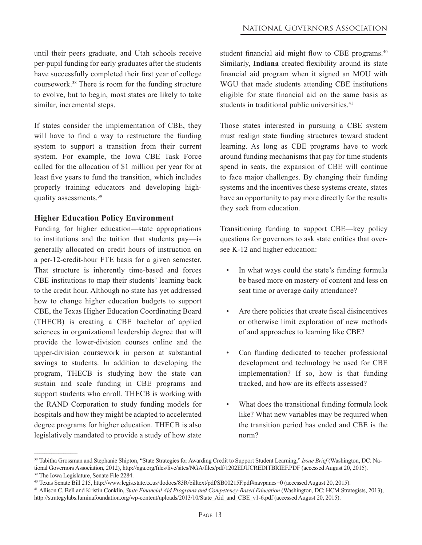until their peers graduate, and Utah schools receive per-pupil funding for early graduates after the students have successfully completed their first year of college coursework.<sup>38</sup> There is room for the funding structure to evolve, but to begin, most states are likely to take similar, incremental steps.

If states consider the implementation of CBE, they will have to find a way to restructure the funding system to support a transition from their current system. For example, the Iowa CBE Task Force called for the allocation of \$1 million per year for at least five years to fund the transition, which includes properly training educators and developing highquality assessments.39

#### **Higher Education Policy Environment**

Funding for higher education—state appropriations to institutions and the tuition that students pay—is generally allocated on credit hours of instruction on a per-12-credit-hour FTE basis for a given semester. That structure is inherently time-based and forces CBE institutions to map their students' learning back to the credit hour. Although no state has yet addressed how to change higher education budgets to support CBE, the Texas Higher Education Coordinating Board (THECB) is creating a CBE bachelor of applied sciences in organizational leadership degree that will provide the lower-division courses online and the upper-division coursework in person at substantial savings to students. In addition to developing the program, THECB is studying how the state can sustain and scale funding in CBE programs and support students who enroll. THECB is working with the RAND Corporation to study funding models for hospitals and how they might be adapted to accelerated degree programs for higher education. THECB is also legislatively mandated to provide a study of how state

 $\mathcal{L}_\text{max}$  and  $\mathcal{L}_\text{max}$  are the set of the set of the set of the set of the set of the set of the set of the set of the set of the set of the set of the set of the set of the set of the set of the set of the set o

student financial aid might flow to CBE programs.<sup>40</sup> Similarly, **Indiana** created flexibility around its state financial aid program when it signed an MOU with WGU that made students attending CBE institutions eligible for state financial aid on the same basis as students in traditional public universities.<sup>41</sup>

Those states interested in pursuing a CBE system must realign state funding structures toward student learning. As long as CBE programs have to work around funding mechanisms that pay for time students spend in seats, the expansion of CBE will continue to face major challenges. By changing their funding systems and the incentives these systems create, states have an opportunity to pay more directly for the results they seek from education.

Transitioning funding to support CBE—key policy questions for governors to ask state entities that oversee K-12 and higher education:

- In what ways could the state's funding formula be based more on mastery of content and less on seat time or average daily attendance?
- Are there policies that create fiscal disincentives or otherwise limit exploration of new methods of and approaches to learning like CBE?
- Can funding dedicated to teacher professional development and technology be used for CBE implementation? If so, how is that funding tracked, and how are its effects assessed?
- What does the transitional funding formula look like? What new variables may be required when the transition period has ended and CBE is the norm?

<sup>38</sup> Tabitha Grossman and Stephanie Shipton, "State Strategies for Awarding Credit to Support Student Learning," *Issue Brief* (Washington, DC: National Governors Association, 2012), http://nga.org/files/live/sites/NGA/files/pdf/1202EDUCREDITBRIEF.PDF (accessed August 20, 2015). <sup>39</sup>The Iowa Legislature, Senate File 2284.

<sup>40</sup> Texas Senate Bill 215, http://www.legis.state.tx.us/tlodocs/83R/billtext/pdf/SB00215F.pdf#navpanes=0 (accessed August 20, 2015).

<sup>41</sup>Allison C. Bell and Kristin Conklin, *State Financial Aid Programs and Competency-Based Education* (Washington, DC: HCM Strategists, 2013),

http://strategylabs.luminafoundation.org/wp-content/uploads/2013/10/State\_Aid\_and\_CBE\_v1-6.pdf (accessed August 20, 2015).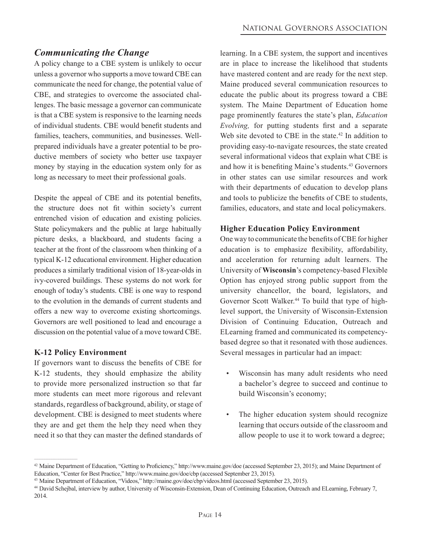### *Communicating the Change*

A policy change to a CBE system is unlikely to occur unless a governor who supports a move toward CBE can communicate the need for change, the potential value of CBE, and strategies to overcome the associated challenges. The basic message a governor can communicate is that a CBE system is responsive to the learning needs of individual students. CBE would benefit students and families, teachers, communities, and businesses. Wellprepared individuals have a greater potential to be productive members of society who better use taxpayer money by staying in the education system only for as long as necessary to meet their professional goals.

Despite the appeal of CBE and its potential benefits, the structure does not fit within society's current entrenched vision of education and existing policies. State policymakers and the public at large habitually picture desks, a blackboard, and students facing a teacher at the front of the classroom when thinking of a typical K-12 educational environment. Higher education produces a similarly traditional vision of 18-year-olds in ivy-covered buildings. These systems do not work for enough of today's students. CBE is one way to respond to the evolution in the demands of current students and offers a new way to overcome existing shortcomings. Governors are well positioned to lead and encourage a discussion on the potential value of a move toward CBE.

#### **K-12 Policy Environment**

If governors want to discuss the benefits of CBE for K-12 students, they should emphasize the ability to provide more personalized instruction so that far more students can meet more rigorous and relevant standards, regardless of background, ability, or stage of development. CBE is designed to meet students where they are and get them the help they need when they need it so that they can master the defined standards of

learning. In a CBE system, the support and incentives are in place to increase the likelihood that students have mastered content and are ready for the next step. Maine produced several communication resources to educate the public about its progress toward a CBE system. The Maine Department of Education home page prominently features the state's plan, *Education Evolving,* for putting students first and a separate Web site devoted to CBE in the state.<sup>42</sup> In addition to providing easy-to-navigate resources, the state created several informational videos that explain what CBE is and how it is benefiting Maine's students.<sup>43</sup> Governors in other states can use similar resources and work with their departments of education to develop plans and tools to publicize the benefits of CBE to students, families, educators, and state and local policymakers.

#### **Higher Education Policy Environment**

One way to communicate the benefits of CBE for higher education is to emphasize flexibility, affordability, and acceleration for returning adult learners. The University of **Wisconsin**'s competency-based Flexible Option has enjoyed strong public support from the university chancellor, the board, legislators, and Governor Scott Walker.<sup>44</sup> To build that type of highlevel support, the University of Wisconsin-Extension Division of Continuing Education, Outreach and ELearning framed and communicated its competencybased degree so that it resonated with those audiences. Several messages in particular had an impact:

- Wisconsin has many adult residents who need a bachelor's degree to succeed and continue to build Wisconsin's economy;
- The higher education system should recognize learning that occurs outside of the classroom and allow people to use it to work toward a degree;

<sup>&</sup>lt;sup>42</sup> Maine Department of Education, "Getting to Proficiency," http://www.maine.gov/doe (accessed September 23, 2015); and Maine Department of Education, "Center for Best Practice," http://www.maine.gov/doe/cbp (accessed September 23, 2015).

<sup>43</sup> Maine Department of Education, "Videos," http://maine.gov/doe/cbp/videos.html (accessed September 23, 2015).

<sup>44</sup> David Schejbal, interview by author, University of Wisconsin-Extension, Dean of Continuing Education, Outreach and ELearning, February 7, 2014.